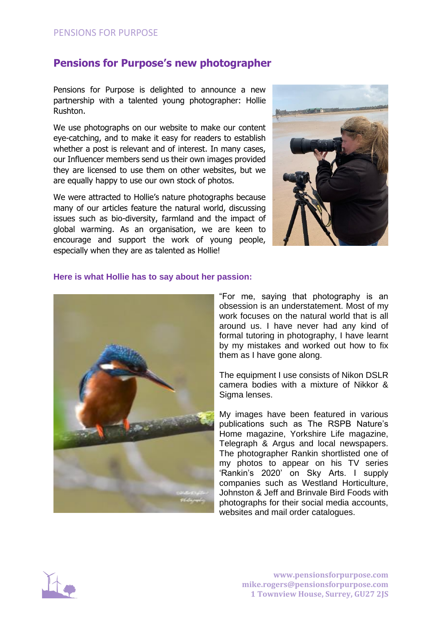## **Pensions for Purpose's new photographer**

Pensions for Purpose is delighted to announce a new partnership with a talented young photographer: Hollie Rushton.

We use photographs on our website to make our content eye-catching, and to make it easy for readers to establish whether a post is relevant and of interest. In many cases, our Influencer members send us their own images provided they are licensed to use them on other websites, but we are equally happy to use our own stock of photos.

We were attracted to Hollie's nature photographs because many of our articles feature the natural world, discussing issues such as bio-diversity, farmland and the impact of global warming. As an organisation, we are keen to encourage and support the work of young people, especially when they are as talented as Hollie!



## **Here is what Hollie has to say about her passion:**



"For me, saying that photography is an obsession is an understatement. Most of my work focuses on the natural world that is all around us. I have never had any kind of formal tutoring in photography, I have learnt by my mistakes and worked out how to fix them as I have gone along.

The equipment I use consists of Nikon DSLR camera bodies with a mixture of Nikkor & Sigma lenses.

My images have been featured in various publications such as The RSPB Nature's Home magazine, Yorkshire Life magazine, Telegraph & Argus and local newspapers. The photographer Rankin shortlisted one of my photos to appear on his TV series 'Rankin's 2020' on Sky Arts. I supply companies such as Westland Horticulture, Johnston & Jeff and Brinvale Bird Foods with photographs for their social media accounts, websites and mail order catalogues.



**www.pensionsforpurpose.com mike.rogers@pensionsforpurpose.com 1 Townview House, Surrey, GU27 2JS**